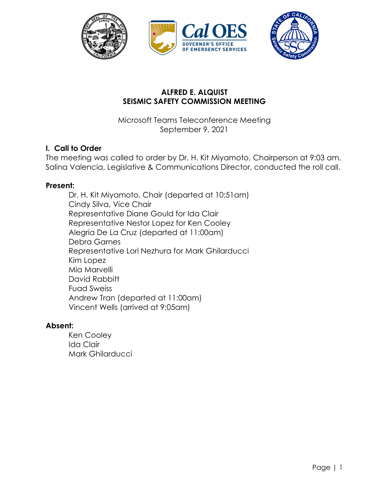

# **ALFRED E. ALQUIST SEISMIC SAFETY COMMISSION MEETING**

Microsoft Teams Teleconference Meeting September 9, 2021

# **I. Call to Order**

The meeting was called to order by Dr. H. Kit Miyamoto, Chairperson at 9:03 am. Salina Valencia, Legislative & Communications Director, conducted the roll call.

## **Present:**

Dr. H. Kit Miyamoto, Chair (departed at 10:51am) Cindy Silva, Vice Chair Representative Diane Gould for Ida Clair Representative Nestor Lopez for Ken Cooley Alegria De La Cruz (departed at 11:00am) Debra Garnes Representative Lori Nezhura for Mark Ghilarducci Kim Lopez Mia Marvelli David Rabbitt Fuad Sweiss Andrew Tran (departed at 11:00am) Vincent Wells (arrived at 9:05am)

## **Absent:**

Ken Cooley Ida Clair Mark Ghilarducci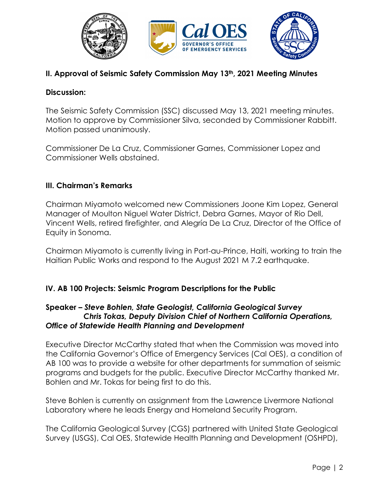

# **II. Approval of Seismic Safety Commission May 13th, 2021 Meeting Minutes**

#### **Discussion:**

The Seismic Safety Commission (SSC) discussed May 13, 2021 meeting minutes. Motion to approve by Commissioner Silva, seconded by Commissioner Rabbitt. Motion passed unanimously.

Commissioner De La Cruz, Commissioner Garnes, Commissioner Lopez and Commissioner Wells abstained.

## **III. Chairman's Remarks**

Chairman Miyamoto welcomed new Commissioners Joone Kim Lopez, General Manager of Moulton Niguel Water District, Debra Garnes, Mayor of Rio Dell, Vincent Wells, retired firefighter, and Alegría De La Cruz, Director of the Office of Equity in Sonoma.

Chairman Miyamoto is currently living in Port-au-Prince, Haiti, working to train the Haitian Public Works and respond to the August 2021 M 7.2 earthquake.

## **IV. AB 100 Projects: Seismic Program Descriptions for the Public**

#### **Speaker** *– Steve Bohlen, State Geologist, California Geological Survey Chris Tokas, Deputy Division Chief of Northern California Operations, Office of Statewide Health Planning and Development*

Executive Director McCarthy stated that when the Commission was moved into the California Governor's Office of Emergency Services (Cal OES), a condition of AB 100 was to provide a website for other departments for summation of seismic programs and budgets for the public. Executive Director McCarthy thanked Mr. Bohlen and Mr. Tokas for being first to do this.

Steve Bohlen is currently on assignment from the Lawrence Livermore National Laboratory where he leads Energy and Homeland Security Program.

The California Geological Survey (CGS) partnered with United State Geological Survey (USGS), Cal OES, Statewide Health Planning and Development (OSHPD),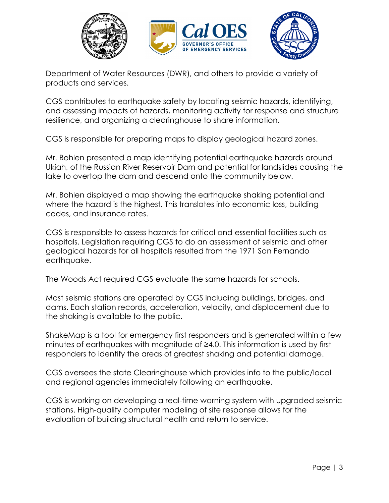

Department of Water Resources (DWR), and others to provide a variety of products and services.

CGS contributes to earthquake safety by locating seismic hazards, identifying, and assessing impacts of hazards, monitoring activity for response and structure resilience, and organizing a clearinghouse to share information.

CGS is responsible for preparing maps to display geological hazard zones.

Mr. Bohlen presented a map identifying potential earthquake hazards around Ukiah, of the Russian River Reservoir Dam and potential for landslides causing the lake to overtop the dam and descend onto the community below.

Mr. Bohlen displayed a map showing the earthquake shaking potential and where the hazard is the highest. This translates into economic loss, building codes, and insurance rates.

CGS is responsible to assess hazards for critical and essential facilities such as hospitals. Legislation requiring CGS to do an assessment of seismic and other geological hazards for all hospitals resulted from the 1971 San Fernando earthquake.

The Woods Act required CGS evaluate the same hazards for schools.

Most seismic stations are operated by CGS including buildings, bridges, and dams. Each station records, acceleration, velocity, and displacement due to the shaking is available to the public.

ShakeMap is a tool for emergency first responders and is generated within a few minutes of earthquakes with magnitude of ≥4.0. This information is used by first responders to identify the areas of greatest shaking and potential damage.

CGS oversees the state Clearinghouse which provides info to the public/local and regional agencies immediately following an earthquake.

CGS is working on developing a real-time warning system with upgraded seismic stations. High-quality computer modeling of site response allows for the evaluation of building structural health and return to service.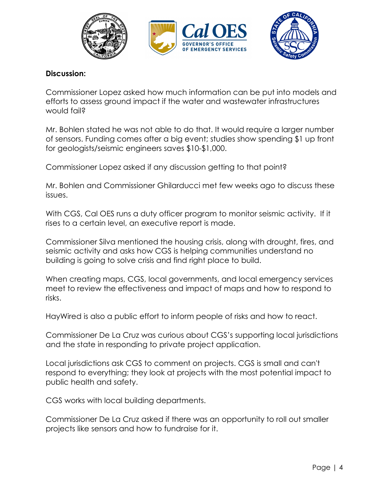

#### **Discussion:**

Commissioner Lopez asked how much information can be put into models and efforts to assess ground impact if the water and wastewater infrastructures would fail?

Mr. Bohlen stated he was not able to do that. It would require a larger number of sensors. Funding comes after a big event; studies show spending \$1 up front for geologists/seismic engineers saves \$10-\$1,000.

Commissioner Lopez asked if any discussion getting to that point?

Mr. Bohlen and Commissioner Ghilarducci met few weeks ago to discuss these issues.

With CGS, Cal OES runs a duty officer program to monitor seismic activity. If it rises to a certain level, an executive report is made.

Commissioner Silva mentioned the housing crisis, along with drought, fires, and seismic activity and asks how CGS is helping communities understand no building is going to solve crisis and find right place to build.

When creating maps, CGS, local governments, and local emergency services meet to review the effectiveness and impact of maps and how to respond to risks.

HayWired is also a public effort to inform people of risks and how to react.

Commissioner De La Cruz was curious about CGS's supporting local jurisdictions and the state in responding to private project application.

Local jurisdictions ask CGS to comment on projects. CGS is small and can't respond to everything; they look at projects with the most potential impact to public health and safety.

CGS works with local building departments.

Commissioner De La Cruz asked if there was an opportunity to roll out smaller projects like sensors and how to fundraise for it.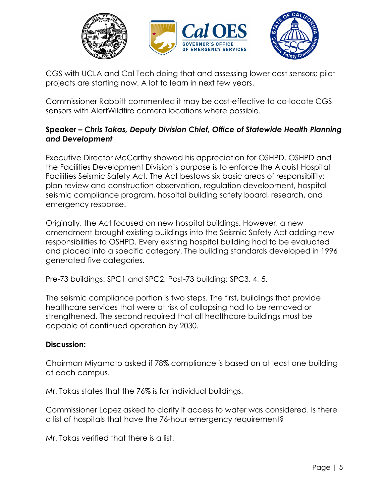

CGS with UCLA and Cal Tech doing that and assessing lower cost sensors; pilot projects are starting now. A lot to learn in next few years.

Commissioner Rabbitt commented it may be cost-effective to co-locate CGS sensors with AlertWildfire camera locations where possible.

# **Speaker** *– Chris Tokas, Deputy Division Chief, Office of Statewide Health Planning and Development*

Executive Director McCarthy showed his appreciation for OSHPD. OSHPD and the Facilities Development Division's purpose is to enforce the Alquist Hospital Facilities Seismic Safety Act. The Act bestows six basic areas of responsibility: plan review and construction observation, regulation development, hospital seismic compliance program, hospital building safety board, research, and emergency response.

Originally, the Act focused on new hospital buildings. However, a new amendment brought existing buildings into the Seismic Safety Act adding new responsibilities to OSHPD. Every existing hospital building had to be evaluated and placed into a specific category. The building standards developed in 1996 generated five categories.

Pre-73 buildings: SPC1 and SPC2; Post-73 building: SPC3, 4, 5.

The seismic compliance portion is two steps. The first, buildings that provide healthcare services that were at risk of collapsing had to be removed or strengthened. The second required that all healthcare buildings must be capable of continued operation by 2030.

## **Discussion:**

Chairman Miyamoto asked if 78% compliance is based on at least one building at each campus.

Mr. Tokas states that the 76% is for individual buildings.

Commissioner Lopez asked to clarify if access to water was considered. Is there a list of hospitals that have the 76-hour emergency requirement?

Mr. Tokas verified that there is a list.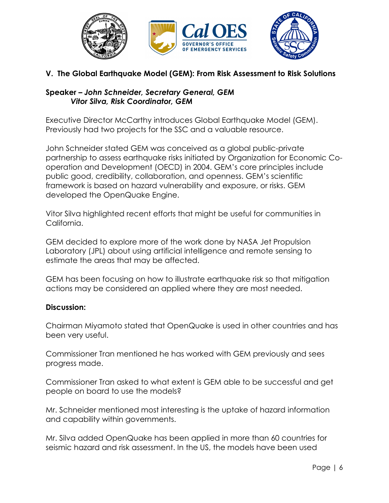

# **V. The Global Earthquake Model (GEM): From Risk Assessment to Risk Solutions**

## **Speaker** *– John Schneider, Secretary General, GEM Vitor Silva, Risk Coordinator, GEM*

Executive Director McCarthy introduces Global Earthquake Model (GEM). Previously had two projects for the SSC and a valuable resource.

John Schneider stated GEM was conceived as a global public-private partnership to assess earthquake risks initiated by Organization for Economic Cooperation and Development (OECD) in 2004. GEM's core principles include public good, credibility, collaboration, and openness. GEM's scientific framework is based on hazard vulnerability and exposure, or risks. GEM developed the OpenQuake Engine.

Vitor Silva highlighted recent efforts that might be useful for communities in California.

GEM decided to explore more of the work done by NASA Jet Propulsion Laboratory (JPL) about using artificial intelligence and remote sensing to estimate the areas that may be affected.

GEM has been focusing on how to illustrate earthquake risk so that mitigation actions may be considered an applied where they are most needed.

## **Discussion:**

Chairman Miyamoto stated that OpenQuake is used in other countries and has been very useful.

Commissioner Tran mentioned he has worked with GEM previously and sees progress made.

Commissioner Tran asked to what extent is GEM able to be successful and get people on board to use the models?

Mr. Schneider mentioned most interesting is the uptake of hazard information and capability within governments.

Mr. Silva added OpenQuake has been applied in more than 60 countries for seismic hazard and risk assessment. In the US, the models have been used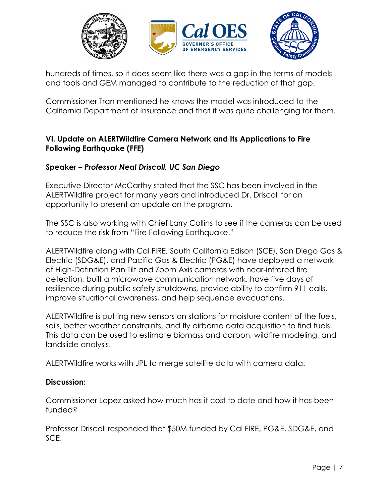

hundreds of times, so it does seem like there was a gap in the terms of models and tools and GEM managed to contribute to the reduction of that gap.

Commissioner Tran mentioned he knows the model was introduced to the California Department of Insurance and that it was quite challenging for them.

# **VI. Update on ALERTWildfire Camera Network and Its Applications to Fire Following Earthquake (FFE)**

# **Speaker** *– Professor Neal Driscoll, UC San Diego*

Executive Director McCarthy stated that the SSC has been involved in the ALERTWildfire project for many years and introduced Dr. Driscoll for an opportunity to present an update on the program.

The SSC is also working with Chief Larry Collins to see if the cameras can be used to reduce the risk from "Fire Following Earthquake."

ALERTWildfire along with Cal FIRE, South California Edison (SCE), San Diego Gas & Electric (SDG&E), and Pacific Gas & Electric (PG&E) have deployed a network of High-Definition Pan Tilt and Zoom Axis cameras with near-infrared fire detection, built a microwave communication network, have five days of resilience during public safety shutdowns, provide ability to confirm 911 calls, improve situational awareness, and help sequence evacuations.

ALERTWildfire is putting new sensors on stations for moisture content of the fuels, soils, better weather constraints, and fly airborne data acquisition to find fuels. This data can be used to estimate biomass and carbon, wildfire modeling, and landslide analysis.

ALERTWildfire works with JPL to merge satellite data with camera data.

## **Discussion:**

Commissioner Lopez asked how much has it cost to date and how it has been funded?

Professor Driscoll responded that \$50M funded by Cal FIRE, PG&E, SDG&E, and SCE.